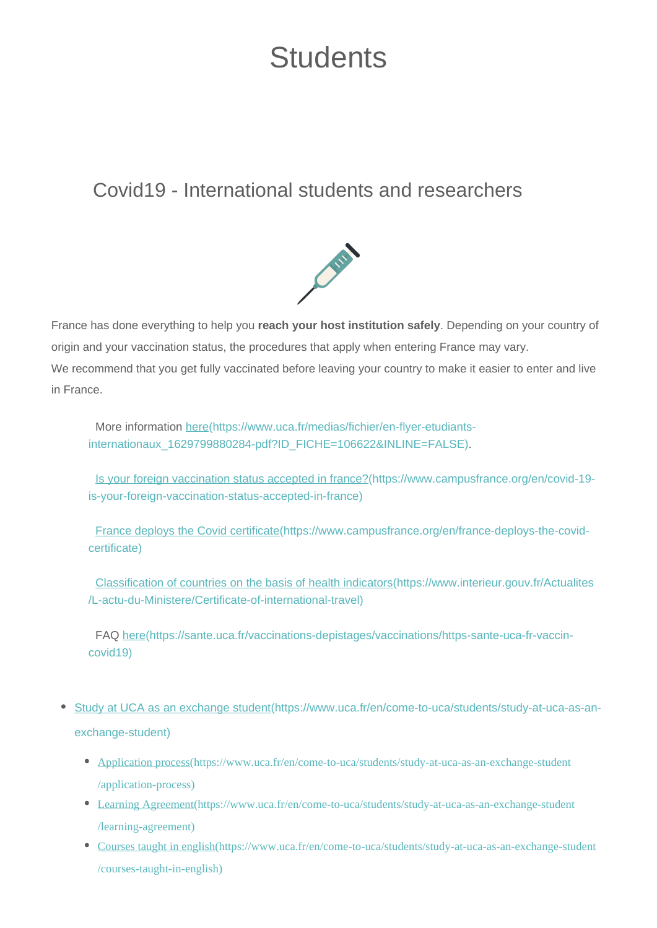## **Students**

## Covid19 - International students and researchers



France has done everything to help you **reach your host institution safely**. Depending on your country of origin and your vaccination status, the procedures that apply when entering France may vary. We recommend that you get fully vaccinated before leaving your country to make it easier to enter and live in France.

More information [here\(https://www.uca.fr/medias/fichier/en-flyer-etudiants](https://www.uca.fr/medias/fichier/en-flyer-etudiants-internationaux_1629799880284-pdf?ID_FICHE=106622&INLINE=FALSE)[internationaux\\_1629799880284-pdf?ID\\_FICHE=106622&INLINE=FALSE\).](https://www.uca.fr/medias/fichier/en-flyer-etudiants-internationaux_1629799880284-pdf?ID_FICHE=106622&INLINE=FALSE)

[Is your foreign vaccination status accepted in france?\(https://www.campusfrance.org/en/covid-19](https://www.campusfrance.org/en/covid-19-is-your-foreign-vaccination-status-accepted-in-france) [is-your-foreign-vaccination-status-accepted-in-france\)](https://www.campusfrance.org/en/covid-19-is-your-foreign-vaccination-status-accepted-in-france)

[France deploys the Covid certificate\(https://www.campusfrance.org/en/france-deploys-the-covid](https://www.campusfrance.org/en/france-deploys-the-covid-certificate)[certificate\)](https://www.campusfrance.org/en/france-deploys-the-covid-certificate)

[Classification of countries on the basis of health indicators\(https://www.interieur.gouv.fr/Actualites](https://www.interieur.gouv.fr/Actualites/L-actu-du-Ministere/Certificate-of-international-travel) [/L-actu-du-Ministere/Certificate-of-international-travel\)](https://www.interieur.gouv.fr/Actualites/L-actu-du-Ministere/Certificate-of-international-travel)

FAQ [here\(https://sante.uca.fr/vaccinations-depistages/vaccinations/https-sante-uca-fr-vaccin](https://sante.uca.fr/vaccinations-depistages/vaccinations/https-sante-uca-fr-vaccin-covid19)[covid19\)](https://sante.uca.fr/vaccinations-depistages/vaccinations/https-sante-uca-fr-vaccin-covid19)

- [Study at UCA as an exchange student\(https://www.uca.fr/en/come-to-uca/students/study-at-uca-as-an](https://www.uca.fr/en/come-to-uca/students/study-at-uca-as-an-exchange-student)[exchange-student\)](https://www.uca.fr/en/come-to-uca/students/study-at-uca-as-an-exchange-student)
	- [Application process\(https://www.uca.fr/en/come-to-uca/students/study-at-uca-as-an-exchange-student](https://www.uca.fr/en/come-to-uca/students/study-at-uca-as-an-exchange-student/application-process) [/application-process\)](https://www.uca.fr/en/come-to-uca/students/study-at-uca-as-an-exchange-student/application-process)
	- [Learning Agreement\(https://www.uca.fr/en/come-to-uca/students/study-at-uca-as-an-exchange-student](https://www.uca.fr/en/come-to-uca/students/study-at-uca-as-an-exchange-student/learning-agreement) [/learning-agreement\)](https://www.uca.fr/en/come-to-uca/students/study-at-uca-as-an-exchange-student/learning-agreement)
	- [Courses taught in english\(https://www.uca.fr/en/come-to-uca/students/study-at-uca-as-an-exchange-student](https://www.uca.fr/en/come-to-uca/students/study-at-uca-as-an-exchange-student/courses-taught-in-english) [/courses-taught-in-english\)](https://www.uca.fr/en/come-to-uca/students/study-at-uca-as-an-exchange-student/courses-taught-in-english)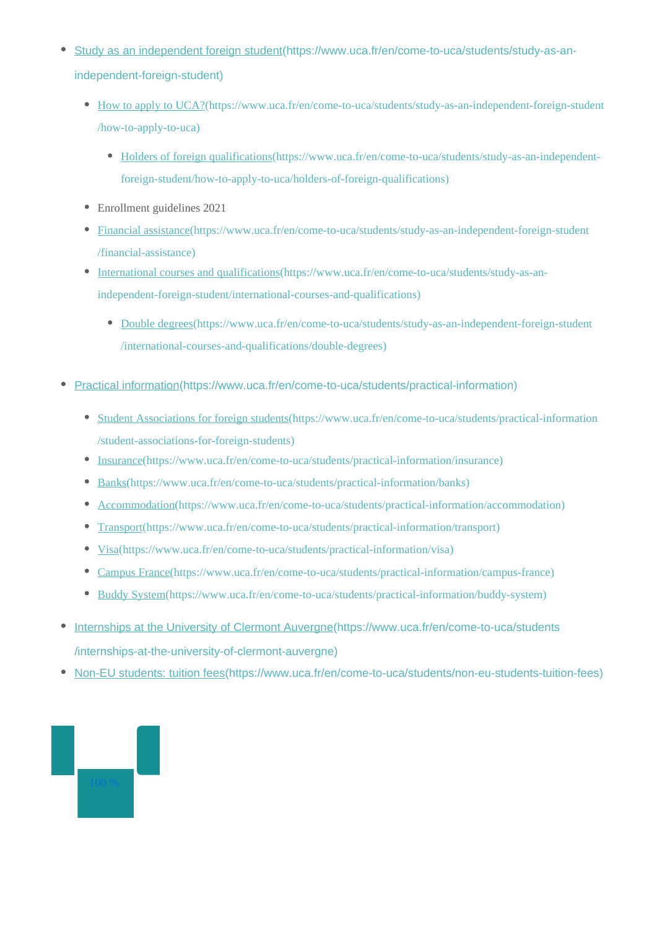- [Study as an independent foreign student\(https://www.uca.fr/en/come-to-uca/students/study-as-an](https://www.uca.fr/en/come-to-uca/students/study-as-an-independent-foreign-student)[independent-foreign-student\)](https://www.uca.fr/en/come-to-uca/students/study-as-an-independent-foreign-student)
	- [How to apply to UCA?\(https://www.uca.fr/en/come-to-uca/students/study-as-an-independent-foreign-student](https://www.uca.fr/en/come-to-uca/students/study-as-an-independent-foreign-student/how-to-apply-to-uca) [/how-to-apply-to-uca\)](https://www.uca.fr/en/come-to-uca/students/study-as-an-independent-foreign-student/how-to-apply-to-uca)
		- [Holders of foreign qualifications\(https://www.uca.fr/en/come-to-uca/students/study-as-an-independent](https://www.uca.fr/en/come-to-uca/students/study-as-an-independent-foreign-student/how-to-apply-to-uca/holders-of-foreign-qualifications)[foreign-student/how-to-apply-to-uca/holders-of-foreign-qualifications\)](https://www.uca.fr/en/come-to-uca/students/study-as-an-independent-foreign-student/how-to-apply-to-uca/holders-of-foreign-qualifications)
	- Enrollment guidelines 2021
	- [Financial assistance\(https://www.uca.fr/en/come-to-uca/students/study-as-an-independent-foreign-student](https://www.uca.fr/en/come-to-uca/students/study-as-an-independent-foreign-student/financial-assistance) [/financial-assistance\)](https://www.uca.fr/en/come-to-uca/students/study-as-an-independent-foreign-student/financial-assistance)
	- [International courses and qualifications\(https://www.uca.fr/en/come-to-uca/students/study-as-an](https://www.uca.fr/en/come-to-uca/students/study-as-an-independent-foreign-student/international-courses-and-qualifications)[independent-foreign-student/international-courses-and-qualifications\)](https://www.uca.fr/en/come-to-uca/students/study-as-an-independent-foreign-student/international-courses-and-qualifications)
		- [Double degrees\(https://www.uca.fr/en/come-to-uca/students/study-as-an-independent-foreign-student](https://www.uca.fr/en/come-to-uca/students/study-as-an-independent-foreign-student/international-courses-and-qualifications/double-degrees) [/international-courses-and-qualifications/double-degrees\)](https://www.uca.fr/en/come-to-uca/students/study-as-an-independent-foreign-student/international-courses-and-qualifications/double-degrees)
- [Practical information\(https://www.uca.fr/en/come-to-uca/students/practical-information\)](https://www.uca.fr/en/come-to-uca/students/practical-information)
	- [Student Associations for foreign students\(https://www.uca.fr/en/come-to-uca/students/practical-information](https://www.uca.fr/en/come-to-uca/students/practical-information/student-associations-for-foreign-students) [/student-associations-for-foreign-students\)](https://www.uca.fr/en/come-to-uca/students/practical-information/student-associations-for-foreign-students)
	- $\bullet$ [Insurance\(https://www.uca.fr/en/come-to-uca/students/practical-information/insurance\)](https://www.uca.fr/en/come-to-uca/students/practical-information/insurance)
	- $\bullet$ [Banks\(https://www.uca.fr/en/come-to-uca/students/practical-information/banks\)](https://www.uca.fr/en/come-to-uca/students/practical-information/banks)
	- [Accommodation\(https://www.uca.fr/en/come-to-uca/students/practical-information/accommodation\)](https://www.uca.fr/en/come-to-uca/students/practical-information/accommodation)
	- $\bullet$ [Transport\(https://www.uca.fr/en/come-to-uca/students/practical-information/transport\)](https://www.uca.fr/en/come-to-uca/students/practical-information/transport)
	- [Visa\(https://www.uca.fr/en/come-to-uca/students/practical-information/visa\)](https://www.uca.fr/en/come-to-uca/students/practical-information/visa)  $\bullet$
	- [Campus France\(https://www.uca.fr/en/come-to-uca/students/practical-information/campus-france\)](https://www.uca.fr/en/come-to-uca/students/practical-information/campus-france)  $\bullet$
	- [Buddy System\(https://www.uca.fr/en/come-to-uca/students/practical-information/buddy-system\)](https://www.uca.fr/en/come-to-uca/students/practical-information/buddy-system)  $\bullet$
- [Internships at the University of Clermont Auvergne\(https://www.uca.fr/en/come-to-uca/students](https://www.uca.fr/en/come-to-uca/students/internships-at-the-university-of-clermont-auvergne)  $\bullet$ [/internships-at-the-university-of-clermont-auvergne\)](https://www.uca.fr/en/come-to-uca/students/internships-at-the-university-of-clermont-auvergne)
- [Non-EU students: tuition fees\(https://www.uca.fr/en/come-to-uca/students/non-eu-students-tuition-fees\)](https://www.uca.fr/en/come-to-uca/students/non-eu-students-tuition-fees)

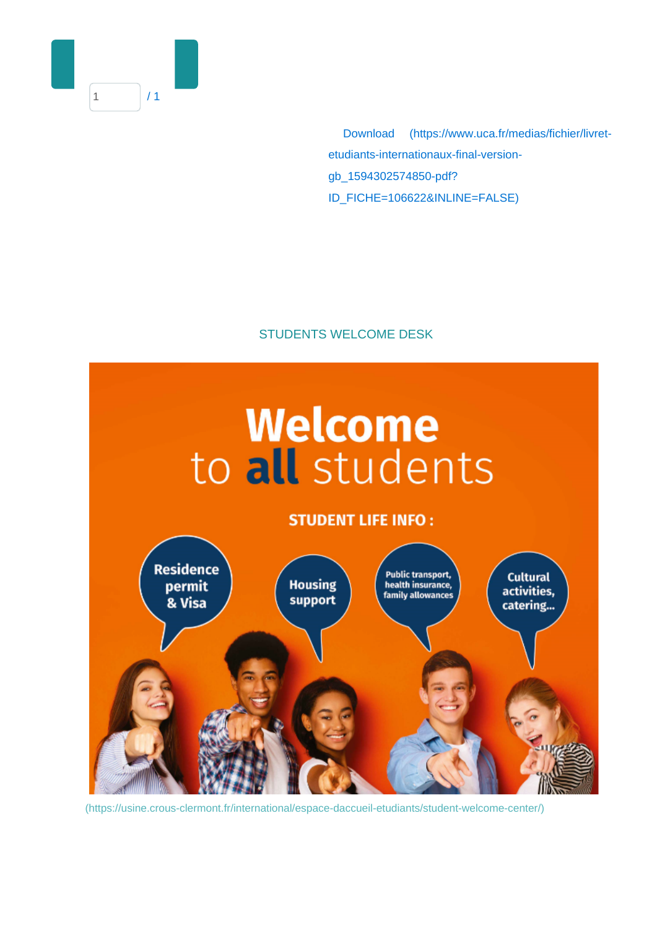

 Download [\(https://www.uca.fr/medias/fichier/livret](https://www.uca.fr/medias/fichier/livret-etudiants-internationaux-final-version-gb_1594302574850-pdf?ID_FICHE=106622&INLINE=FALSE)[etudiants-internationaux-final-version](https://www.uca.fr/medias/fichier/livret-etudiants-internationaux-final-version-gb_1594302574850-pdf?ID_FICHE=106622&INLINE=FALSE)[gb\\_1594302574850-pdf?](https://www.uca.fr/medias/fichier/livret-etudiants-internationaux-final-version-gb_1594302574850-pdf?ID_FICHE=106622&INLINE=FALSE) [ID\\_FICHE=106622&INLINE=FALSE\)](https://www.uca.fr/medias/fichier/livret-etudiants-internationaux-final-version-gb_1594302574850-pdf?ID_FICHE=106622&INLINE=FALSE)

## STUDENTS WELCOME DESK



[\(https://usine.crous-clermont.fr/international/espace-daccueil-etudiants/student-welcome-center/\)](https://usine.crous-clermont.fr/international/espace-daccueil-etudiants/student-welcome-center/)